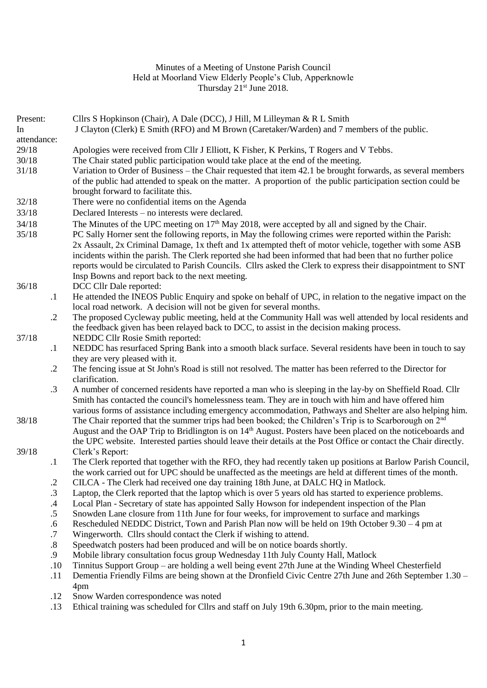## Minutes of a Meeting of Unstone Parish Council Held at Moorland View Elderly People's Club, Apperknowle Thursday  $21<sup>st</sup>$  June 2018.

| Present:<br>In |            | Cllrs S Hopkinson (Chair), A Dale (DCC), J Hill, M Lilleyman & R L Smith<br>J Clayton (Clerk) E Smith (RFO) and M Brown (Caretaker/Warden) and 7 members of the public. |
|----------------|------------|-------------------------------------------------------------------------------------------------------------------------------------------------------------------------|
| attendance:    |            |                                                                                                                                                                         |
| 29/18          |            | Apologies were received from Cllr J Elliott, K Fisher, K Perkins, T Rogers and V Tebbs.                                                                                 |
| 30/18          |            | The Chair stated public participation would take place at the end of the meeting.                                                                                       |
| 31/18          |            | Variation to Order of Business – the Chair requested that item 42.1 be brought forwards, as several members                                                             |
|                |            |                                                                                                                                                                         |
|                |            | of the public had attended to speak on the matter. A proportion of the public participation section could be<br>brought forward to facilitate this.                     |
| 32/18          |            | There were no confidential items on the Agenda                                                                                                                          |
| 33/18          |            | Declared Interests – no interests were declared.                                                                                                                        |
| 34/18          |            | The Minutes of the UPC meeting on 17 <sup>th</sup> May 2018, were accepted by all and signed by the Chair.                                                              |
|                |            |                                                                                                                                                                         |
| 35/18          |            | PC Sally Horner sent the following reports, in May the following crimes were reported within the Parish:                                                                |
|                |            | 2x Assault, 2x Criminal Damage, 1x theft and 1x attempted theft of motor vehicle, together with some ASB                                                                |
|                |            | incidents within the parish. The Clerk reported she had been informed that had been that no further police                                                              |
|                |            | reports would be circulated to Parish Councils. Cllrs asked the Clerk to express their disappointment to SNT                                                            |
|                |            | Insp Bowns and report back to the next meeting.                                                                                                                         |
| 36/18          |            | DCC Cllr Dale reported:                                                                                                                                                 |
|                | $\cdot$    | He attended the INEOS Public Enquiry and spoke on behalf of UPC, in relation to the negative impact on the                                                              |
|                |            | local road network. A decision will not be given for several months.                                                                                                    |
|                | $\cdot$ .2 | The proposed Cycleway public meeting, held at the Community Hall was well attended by local residents and                                                               |
|                |            | the feedback given has been relayed back to DCC, to assist in the decision making process.                                                                              |
| 37/18          |            | NEDDC Cllr Rosie Smith reported:                                                                                                                                        |
|                | $\cdot$ 1  | NEDDC has resurfaced Spring Bank into a smooth black surface. Several residents have been in touch to say                                                               |
|                |            | they are very pleased with it.                                                                                                                                          |
|                | $\cdot$ .2 | The fencing issue at St John's Road is still not resolved. The matter has been referred to the Director for<br>clarification.                                           |
|                | $\cdot$ 3  | A number of concerned residents have reported a man who is sleeping in the lay-by on Sheffield Road. Cllr                                                               |
|                |            | Smith has contacted the council's homelessness team. They are in touch with him and have offered him                                                                    |
|                |            | various forms of assistance including emergency accommodation, Pathways and Shelter are also helping him.                                                               |
| 38/18          |            | The Chair reported that the summer trips had been booked; the Children's Trip is to Scarborough on $2nd$                                                                |
|                |            | August and the OAP Trip to Bridlington is on 14 <sup>th</sup> August. Posters have been placed on the noticeboards and                                                  |
|                |            | the UPC website. Interested parties should leave their details at the Post Office or contact the Chair directly.                                                        |
| 39/18          |            | Clerk's Report:                                                                                                                                                         |
|                | $\cdot$    | The Clerk reported that together with the RFO, they had recently taken up positions at Barlow Parish Council,                                                           |
|                |            | the work carried out for UPC should be unaffected as the meetings are held at different times of the month.                                                             |
|                | $\cdot$    | CILCA - The Clerk had received one day training 18th June, at DALC HQ in Matlock.                                                                                       |
|                | $\cdot$ 3  | Laptop, the Clerk reported that the laptop which is over 5 years old has started to experience problems.                                                                |
|                | $.4\,$     | Local Plan - Secretary of state has appointed Sally Howson for independent inspection of the Plan                                                                       |
|                | $.5\,$     | Snowden Lane closure from 11th June for four weeks, for improvement to surface and markings                                                                             |
|                | .6         | Rescheduled NEDDC District, Town and Parish Plan now will be held on 19th October 9.30 - 4 pm at                                                                        |
|                |            |                                                                                                                                                                         |
|                | $.7\,$     | Wingerworth. Cllrs should contact the Clerk if wishing to attend.                                                                                                       |
|                | $.8\,$     | Speedwatch posters had been produced and will be on notice boards shortly.                                                                                              |
|                | .9         | Mobile library consultation focus group Wednesday 11th July County Hall, Matlock                                                                                        |
|                | .10        | Tinnitus Support Group – are holding a well being event 27th June at the Winding Wheel Chesterfield                                                                     |
|                | .11        | Dementia Friendly Films are being shown at the Dronfield Civic Centre 27th June and 26th September 1.30 -                                                               |
|                |            | 4pm                                                                                                                                                                     |
|                | .12        | Snow Warden correspondence was noted                                                                                                                                    |
|                | .13        | Ethical training was scheduled for Cllrs and staff on July 19th 6.30pm, prior to the main meeting.                                                                      |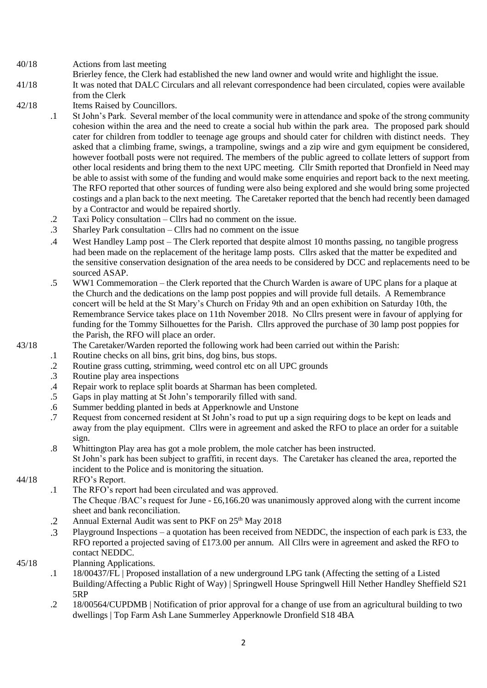- 40/18 Actions from last meeting
	- Brierley fence, the Clerk had established the new land owner and would write and highlight the issue.
- 41/18 It was noted that DALC Circulars and all relevant correspondence had been circulated, copies were available from the Clerk
- 42/18 Items Raised by Councillors.
	- .1 St John's Park. Several member of the local community were in attendance and spoke of the strong community cohesion within the area and the need to create a social hub within the park area. The proposed park should cater for children from toddler to teenage age groups and should cater for children with distinct needs. They asked that a climbing frame, swings, a trampoline, swings and a zip wire and gym equipment be considered, however football posts were not required. The members of the public agreed to collate letters of support from other local residents and bring them to the next UPC meeting. Cllr Smith reported that Dronfield in Need may be able to assist with some of the funding and would make some enquiries and report back to the next meeting. The RFO reported that other sources of funding were also being explored and she would bring some projected costings and a plan back to the next meeting. The Caretaker reported that the bench had recently been damaged by a Contractor and would be repaired shortly.
		- .2 Taxi Policy consultation Cllrs had no comment on the issue.
	- .3 Sharley Park consultation Cllrs had no comment on the issue
	- .4 West Handley Lamp post The Clerk reported that despite almost 10 months passing, no tangible progress had been made on the replacement of the heritage lamp posts. Cllrs asked that the matter be expedited and the sensitive conservation designation of the area needs to be considered by DCC and replacements need to be sourced ASAP.
	- .5 WW1 Commemoration the Clerk reported that the Church Warden is aware of UPC plans for a plaque at the Church and the dedications on the lamp post poppies and will provide full details. A Remembrance concert will be held at the St Mary's Church on Friday 9th and an open exhibition on Saturday 10th, the Remembrance Service takes place on 11th November 2018. No Cllrs present were in favour of applying for funding for the Tommy Silhouettes for the Parish. Cllrs approved the purchase of 30 lamp post poppies for the Parish, the RFO will place an order.

43/18

- The Caretaker/Warden reported the following work had been carried out within the Parish:
- .1 Routine checks on all bins, grit bins, dog bins, bus stops.
- .2 Routine grass cutting, strimming, weed control etc on all UPC grounds
- .3 Routine play area inspections
- .4 Repair work to replace split boards at Sharman has been completed.
- .5 Gaps in play matting at St John's temporarily filled with sand.
- .6 Summer bedding planted in beds at Apperknowle and Unstone
- .7 Request from concerned resident at St John's road to put up a sign requiring dogs to be kept on leads and away from the play equipment. Cllrs were in agreement and asked the RFO to place an order for a suitable sign.
- .8 Whittington Play area has got a mole problem, the mole catcher has been instructed. St John's park has been subject to graffiti, in recent days. The Caretaker has cleaned the area, reported the incident to the Police and is monitoring the situation.
- 44/18 RFO's Report.
	- .1 The RFO's report had been circulated and was approved. The Cheque */BAC's request for June - £6,166.20* was unanimously approved along with the current income sheet and bank reconciliation.
	- .2 Annual External Audit was sent to PKF on 25<sup>th</sup> May 2018
	- .3 Playground Inspections a quotation has been received from NEDDC, the inspection of each park is £33, the RFO reported a projected saving of £173.00 per annum. All Cllrs were in agreement and asked the RFO to contact NEDDC.
- 45/18 Planning Applications.
	- .1 18/00437/FL | Proposed installation of a new underground LPG tank (Affecting the setting of a Listed Building/Affecting a Public Right of Way) | Springwell House Springwell Hill Nether Handley Sheffield S21 5RP
	- .2 18/00564/CUPDMB | Notification of prior approval for a change of use from an agricultural building to two dwellings | Top Farm Ash Lane Summerley Apperknowle Dronfield S18 4BA